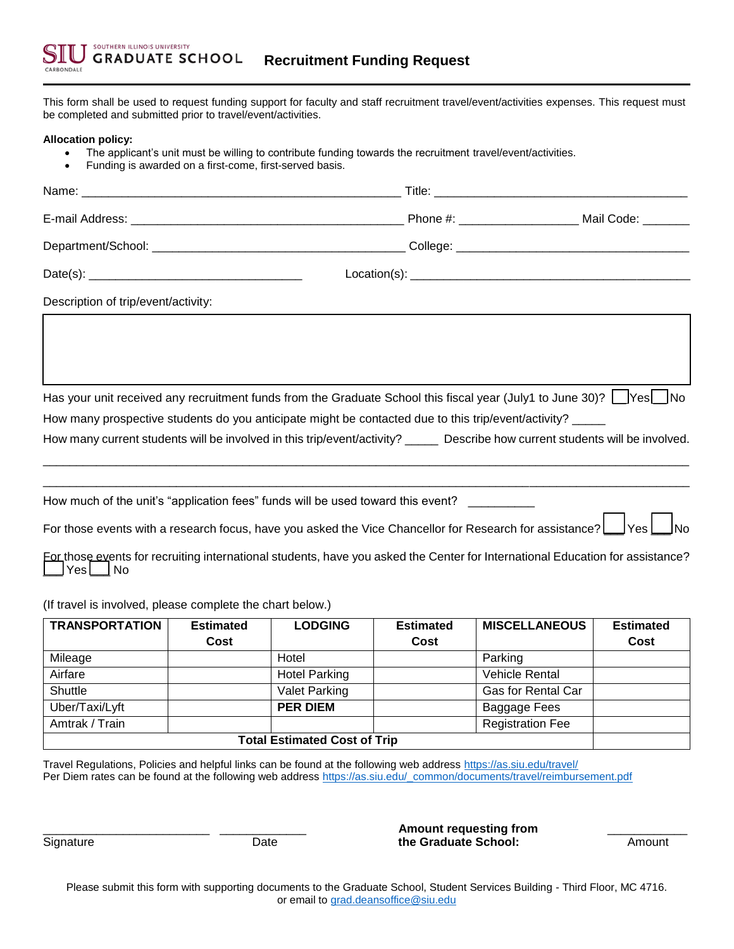This form shall be used to request funding support for faculty and staff recruitment travel/event/activities expenses. This request must be completed and submitted prior to travel/event/activities.

## **Allocation policy:**

- The applicant's unit must be willing to contribute funding towards the recruitment travel/event/activities.
- Funding is awarded on a first-come, first-served basis.

| Description of trip/event/activity:                                                                                                                 |      |
|-----------------------------------------------------------------------------------------------------------------------------------------------------|------|
|                                                                                                                                                     |      |
|                                                                                                                                                     |      |
|                                                                                                                                                     |      |
| Has your unit received any recruitment funds from the Graduate School this fiscal year (July1 to June 30)? [ Yes   No                               |      |
| How many prospective students do you anticipate might be contacted due to this trip/event/activity?                                                 |      |
| How many current students will be involved in this trip/event/activity? _____ Describe how current students will be involved.                       |      |
|                                                                                                                                                     |      |
| How much of the unit's "application fees" funds will be used toward this event? __________                                                          |      |
| For those events with a research focus, have you asked the Vice Chancellor for Research for assistance?                                             | IYes |
| For those events for recruiting international students, have you asked the Center for International Education for assistance?<br>$Yes \bigsqcup No$ |      |
| (If travel is involved, please complete the chart below.)                                                                                           |      |

| <b>TRANSPORTATION</b>               | <b>Estimated</b> | <b>LODGING</b>       | <b>Estimated</b> | <b>MISCELLANEOUS</b>    | <b>Estimated</b> |
|-------------------------------------|------------------|----------------------|------------------|-------------------------|------------------|
|                                     | Cost             |                      | Cost             |                         | Cost             |
| Mileage                             |                  | Hotel                |                  | Parking                 |                  |
| Airfare                             |                  | <b>Hotel Parking</b> |                  | <b>Vehicle Rental</b>   |                  |
| Shuttle                             |                  | <b>Valet Parking</b> |                  | Gas for Rental Car      |                  |
| Uber/Taxi/Lyft                      |                  | <b>PER DIEM</b>      |                  | Baggage Fees            |                  |
| Amtrak / Train                      |                  |                      |                  | <b>Registration Fee</b> |                  |
| <b>Total Estimated Cost of Trip</b> |                  |                      |                  |                         |                  |

Travel Regulations, Policies and helpful links can be found at the following web address https://as.siu.edu/travel/ Per Diem rates can be found at the following web address https://as.siu.edu/\_common/documents/travel/reimbursement.pdf

\_\_\_\_\_\_\_\_\_\_\_\_\_\_\_\_\_\_\_\_\_\_\_\_\_ \_\_\_\_\_\_\_\_\_\_\_\_\_ **Amount requesting from** \_\_\_\_\_\_\_\_\_\_\_\_ Signature **1988** Date **the Graduate School:** Amount